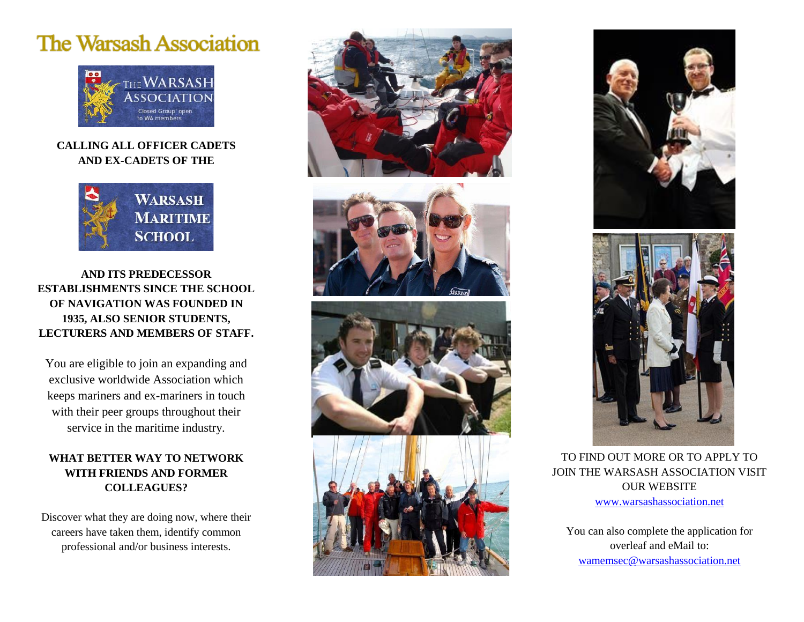## **The Warsash Association**



## **CALLING ALL OFFICER CADETS AND EX-CADETS OF THE**



**AND ITS PREDECESSOR ESTABLISHMENTS SINCE THE SCHOOL OF NAVIGATION WAS FOUNDED IN 1935, ALSO SENIOR STUDENTS, LECTURERS AND MEMBERS OF STAFF.**

You are eligible to join an expanding and exclusive worldwide Association which keeps mariners and ex-mariners in touch with their peer groups throughout their service in the maritime industry.

## **WHAT BETTER WAY TO NETWORK WITH FRIENDS AND FORMER COLLEAGUES?**

Discover what they are doing now, where their careers have taken them, identify common professional and/or business interests.









TO FIND OUT MORE OR TO APPLY TO JOIN THE WARSASH ASSOCIATION VISIT OUR WEBSITE [www.warsashassociation.net](http://www.warsashassociation.net/)

You can also complete the application for overleaf and eMail to: [wamemsec@warsashassociation.net](mailto:wamemsec@warsashassociation.net)